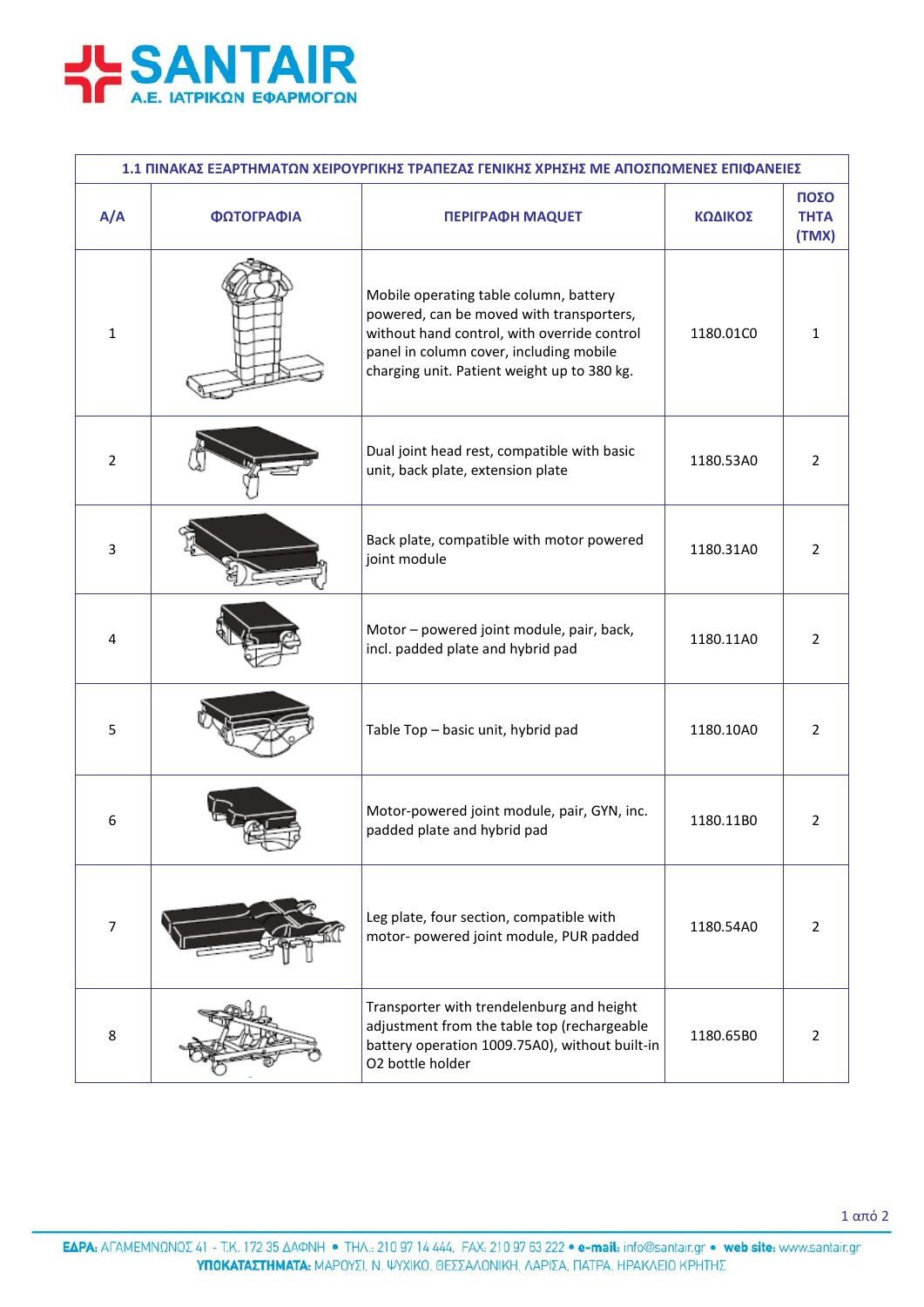

| 1.1 ΠΙΝΑΚΑΣ ΕΞΑΡΤΗΜΑΤΩΝ ΧΕΙΡΟΥΡΓΙΚΗΣ ΤΡΑΠΕΖΑΣ ΓΕΝΙΚΗΣ ΧΡΗΣΗΣ ΜΕ ΑΠΟΣΠΩΜΕΝΕΣ ΕΠΙΦΑΝΕΙΕΣ |            |                                                                                                                                                                                                                             |           |                              |  |  |
|----------------------------------------------------------------------------------------|------------|-----------------------------------------------------------------------------------------------------------------------------------------------------------------------------------------------------------------------------|-----------|------------------------------|--|--|
| A/A                                                                                    | ΦΩΤΟΓΡΑΦΙΑ | <b>ΠΕΡΙΓΡΑΦΗ ΜΑQUET</b>                                                                                                                                                                                                     | ΚΩΔΙΚΟΣ   | ΠΟΣΟ<br><b>THTA</b><br>(TMX) |  |  |
| 1                                                                                      |            | Mobile operating table column, battery<br>powered, can be moved with transporters,<br>without hand control, with override control<br>panel in column cover, including mobile<br>charging unit. Patient weight up to 380 kg. | 1180.01C0 | 1                            |  |  |
| $\overline{2}$                                                                         |            | Dual joint head rest, compatible with basic<br>unit, back plate, extension plate                                                                                                                                            | 1180.53A0 | 2                            |  |  |
| 3                                                                                      |            | Back plate, compatible with motor powered<br>joint module                                                                                                                                                                   | 1180.31A0 | $\overline{2}$               |  |  |
| 4                                                                                      |            | Motor - powered joint module, pair, back,<br>incl. padded plate and hybrid pad                                                                                                                                              | 1180.11A0 | $\overline{2}$               |  |  |
| 5                                                                                      |            | Table Top - basic unit, hybrid pad                                                                                                                                                                                          | 1180.10A0 | $\overline{2}$               |  |  |
| 6                                                                                      |            | Motor-powered joint module, pair, GYN, inc.<br>padded plate and hybrid pad                                                                                                                                                  | 1180.11B0 | $\overline{2}$               |  |  |
| $\overline{7}$                                                                         |            | Leg plate, four section, compatible with<br>motor- powered joint module, PUR padded                                                                                                                                         | 1180.54A0 | $\overline{2}$               |  |  |
| 8                                                                                      |            | Transporter with trendelenburg and height<br>adjustment from the table top (rechargeable<br>battery operation 1009.75A0), without built-in<br>O2 bottle holder                                                              | 1180.65B0 | 2                            |  |  |